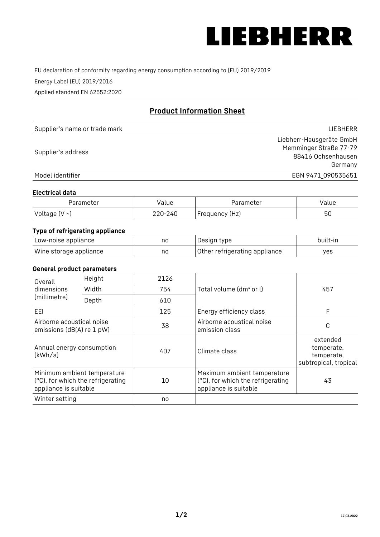

EU declaration of conformity regarding energy consumption according to (EU) 2019/2019

Energy Label (EU) 2019/2016

Applied standard EN 62552:2020

# **Product Information Sheet**

| Supplier's name or trade mark | <b>LIFBHFRR</b>          |
|-------------------------------|--------------------------|
|                               | Liebherr-Hausgeräte GmbH |
| Supplier's address            | Memminger Straße 77-79   |
|                               | 88416 Ochsenhausen       |
|                               | Germany                  |
| Model identifier              | EGN 9471 090535651       |

#### **Electrical data**

| Parameter     | Value   | Parameter      | alue |
|---------------|---------|----------------|------|
| Voltage (V ~) | 220-240 | Frequency (Hz) | 50   |

## **Type of refrigerating appliance**

| Low-noise appliance    | no | Design type                   | built-in |
|------------------------|----|-------------------------------|----------|
| Wine storage appliance | no | Other refrigerating appliance | ves      |

#### **General product parameters**

|                                                        | Height                                                           | 2126 |                                                                                           | 457                                                           |
|--------------------------------------------------------|------------------------------------------------------------------|------|-------------------------------------------------------------------------------------------|---------------------------------------------------------------|
| Overall<br>dimensions<br>(millimetre)                  | Width                                                            | 754  | Total volume (dm <sup>3</sup> or l)                                                       |                                                               |
|                                                        | Depth                                                            | 610  |                                                                                           |                                                               |
| EEL                                                    |                                                                  | 125  | Energy efficiency class                                                                   | F                                                             |
| Airborne acoustical noise<br>emissions (dB(A) re 1 pW) |                                                                  | 38   | Airborne acoustical noise<br>emission class                                               | C                                                             |
| Annual energy consumption<br>(kWh/a)                   |                                                                  | 407  | Climate class                                                                             | extended<br>temperate,<br>temperate,<br>subtropical, tropical |
| appliance is suitable                                  | Minimum ambient temperature<br>(°C), for which the refrigerating | 10   | Maximum ambient temperature<br>(°C), for which the refrigerating<br>appliance is suitable | 43                                                            |
| Winter setting                                         |                                                                  | no   |                                                                                           |                                                               |